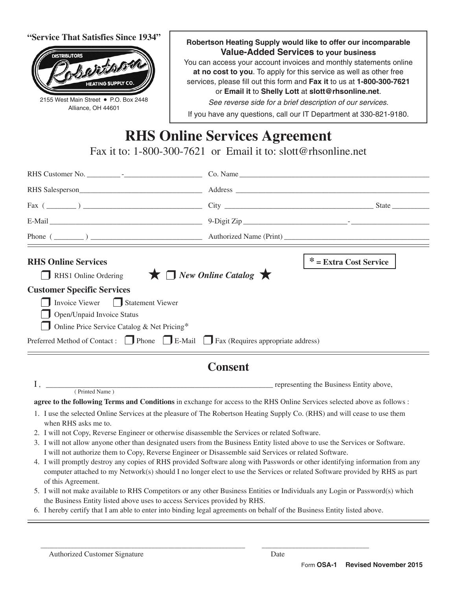**"Service That Satisfies Since 1934"**



2155 West Main Street • P.O. Box 2448 Alliance, OH 44601



**at no cost to you**. To apply for this service as well as other free services, please fill out this form and **Fax it** to us at **1-800-300-7621** or **Email it** to **Shelly Lott** at **slott@rhsonline.net**.

*See reverse side for a brief description of our services.*

If you have any questions, call our IT Department at 330-821-9180.

# **RHS Online Services Agreement**

Fax it to: 1-800-300-7621 or Email it to: slott@rhsonline.net

| <b>RHS Online Services</b>                                                                                                                         |                                                                   | * = Extra Cost Service |  |  |  |  |
|----------------------------------------------------------------------------------------------------------------------------------------------------|-------------------------------------------------------------------|------------------------|--|--|--|--|
| RHS1 Online Ordering                                                                                                                               | $\bigstar$ $\sqcap$ New Online Catalog $\bigstar$                 |                        |  |  |  |  |
| <b>Customer Specific Services</b>                                                                                                                  |                                                                   |                        |  |  |  |  |
| Invoice Viewer Statement Viewer                                                                                                                    |                                                                   |                        |  |  |  |  |
| Open/Unpaid Invoice Status                                                                                                                         |                                                                   |                        |  |  |  |  |
| Online Price Service Catalog & Net Pricing*                                                                                                        |                                                                   |                        |  |  |  |  |
| Preferred Method of Contact: Phone B-Mail Fax (Requires appropriate address)                                                                       |                                                                   |                        |  |  |  |  |
| <b>Consent</b>                                                                                                                                     |                                                                   |                        |  |  |  |  |
| (Printed Name)                                                                                                                                     | example and the Business Entity above, the Business Entity above, |                        |  |  |  |  |
| agree to the following Terms and Conditions in exchange for access to the RHS Online Services selected above as follows :                          |                                                                   |                        |  |  |  |  |
| 1. I use the selected Online Services at the pleasure of The Robertson Heating Supply Co. (RHS) and will cease to use them<br>when RHS asks me to. |                                                                   |                        |  |  |  |  |

- 2. I will not Copy, Reverse Engineer or otherwise disassemble the Services or related Software.
- 3. I will not allow anyone other than designated users from the Business Entity listed above to use the Services or Software. I will not authorize them to Copy, Reverse Engineer or Disassemble said Services or related Software.
- 4. I will promptly destroy any copies of RHS provided Software along with Passwords or other identifying information from any computer attached to my Network(s) should I no longer elect to use the Services or related Software provided by RHS as part of this Agreement.
- 5. I will not make available to RHS Competitors or any other Business Entities or Individuals any Login or Password(s) which the Business Entity listed above uses to access Services provided by RHS.
- 6. I hereby certify that I am able to enter into binding legal agreements on behalf of the Business Entity listed above.

\_\_\_\_\_\_\_\_\_\_\_\_\_\_\_\_\_\_\_\_\_\_\_\_\_\_\_\_\_\_\_\_\_\_\_\_\_\_\_\_\_\_\_\_\_\_\_\_\_\_\_\_\_\_\_\_\_\_\_\_\_ \_\_\_\_\_\_\_\_\_\_\_\_\_\_\_\_\_\_\_\_\_\_\_\_\_\_\_\_\_\_\_\_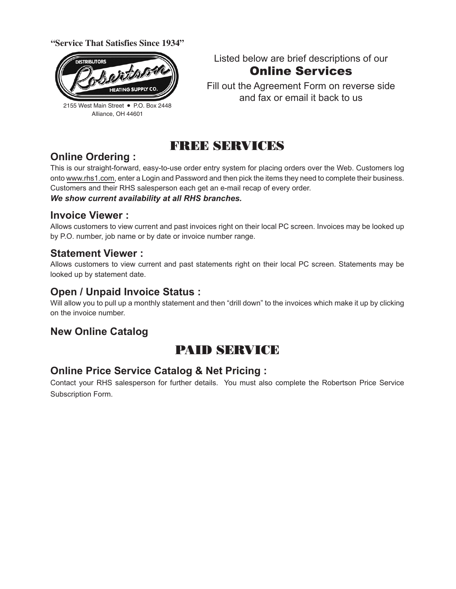**"Service That Satisfies Since 1934"**



2155 West Main Street • P.O. Box 2448 Alliance, OH 44601

Listed below are brief descriptions of our Online Services

Fill out the Agreement Form on reverse side and fax or email it back to us

## FREE SERVICES

## **Online Ordering :**

This is our straight-forward, easy-to-use order entry system for placing orders over the Web. Customers log onto www.rhs1.com, enter a Login and Password and then pick the items they need to complete their business. Customers and their RHS salesperson each get an e-mail recap of every order. *We show current availability at all RHS branches.*

### **Invoice Viewer :**

Allows customers to view current and past invoices right on their local PC screen. Invoices may be looked up by P.O. number, job name or by date or invoice number range.

## **Statement Viewer :**

Allows customers to view current and past statements right on their local PC screen. Statements may be looked up by statement date.

## **Open / Unpaid Invoice Status :**

Will allow you to pull up a monthly statement and then "drill down" to the invoices which make it up by clicking on the invoice number.

## **New Online Catalog**

## PAID SERVICE

## **Online Price Service Catalog & Net Pricing :**

Contact your RHS salesperson for further details. You must also complete the Robertson Price Service Subscription Form.